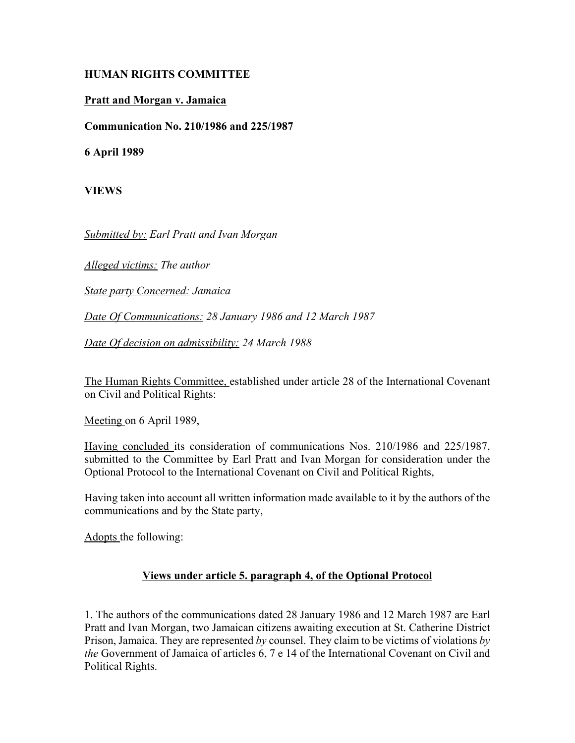## **HUMAN RIGHTS COMMITTEE**

## **Pratt and Morgan v. Jamaica**

**Communication No. 210/1986 and 225/1987**

**6 April 1989**

**VIEWS**

*Submitted by: Earl Pratt and Ivan Morgan*

*Alleged victims: The author*

*State party Concerned: Jamaica*

*Date Of Communications: 28 January 1986 and 12 March 1987*

*Date Of decision on admissibility: 24 March 1988*

The Human Rights Committee, established under article 28 of the International Covenant on Civil and Political Rights:

Meeting on 6 April 1989,

Having concluded its consideration of communications Nos. 210/1986 and 225/1987, submitted to the Committee by Earl Pratt and Ivan Morgan for consideration under the Optional Protocol to the International Covenant on Civil and Political Rights,

Having taken into account all written information made available to it by the authors of the communications and by the State party,

Adopts the following:

## **Views under article 5. paragraph 4, of the Optional Protocol**

1. The authors of the communications dated 28 January 1986 and 12 March 1987 are Earl Pratt and Ivan Morgan, two Jamaican citizens awaiting execution at St. Catherine District Prison, Jamaica. They are represented *by* counsel. They claim to be victims of violations *by the* Government of Jamaica of articles 6, 7 e 14 of the International Covenant on Civil and Political Rights.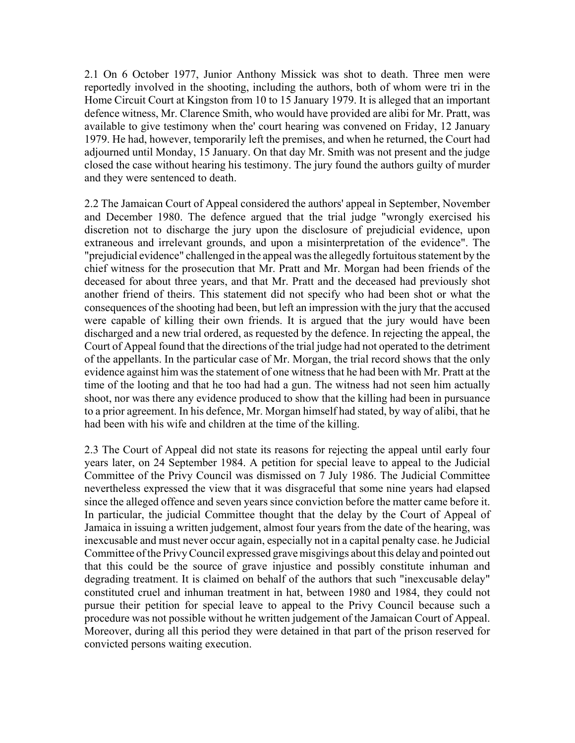2.1 On 6 October 1977, Junior Anthony Missick was shot to death. Three men were reportedly involved in the shooting, including the authors, both of whom were tri in the Home Circuit Court at Kingston from 10 to 15 January 1979. It is alleged that an important defence witness, Mr. Clarence Smith, who would have provided are alibi for Mr. Pratt, was available to give testimony when the' court hearing was convened on Friday, 12 January 1979. He had, however, temporarily left the premises, and when he returned, the Court had adjourned until Monday, 15 January. On that day Mr. Smith was not present and the judge closed the case without hearing his testimony. The jury found the authors guilty of murder and they were sentenced to death.

2.2 The Jamaican Court of Appeal considered the authors' appeal in September, November and December 1980. The defence argued that the trial judge "wrongly exercised his discretion not to discharge the jury upon the disclosure of prejudicial evidence, upon extraneous and irrelevant grounds, and upon a misinterpretation of the evidence". The "prejudicial evidence" challenged in the appeal was the allegedly fortuitous statement by the chief witness for the prosecution that Mr. Pratt and Mr. Morgan had been friends of the deceased for about three years, and that Mr. Pratt and the deceased had previously shot another friend of theirs. This statement did not specify who had been shot or what the consequences of the shooting had been, but left an impression with the jury that the accused were capable of killing their own friends. It is argued that the jury would have been discharged and a new trial ordered, as requested by the defence. In rejecting the appeal, the Court of Appeal found that the directions of the trial judge had not operated to the detriment of the appellants. In the particular case of Mr. Morgan, the trial record shows that the only evidence against him was the statement of one witness that he had been with Mr. Pratt at the time of the looting and that he too had had a gun. The witness had not seen him actually shoot, nor was there any evidence produced to show that the killing had been in pursuance to a prior agreement. In his defence, Mr. Morgan himself had stated, by way of alibi, that he had been with his wife and children at the time of the killing.

2.3 The Court of Appeal did not state its reasons for rejecting the appeal until early four years later, on 24 September 1984. A petition for special leave to appeal to the Judicial Committee of the Privy Council was dismissed on 7 July 1986. The Judicial Committee nevertheless expressed the view that it was disgraceful that some nine years had elapsed since the alleged offence and seven years since conviction before the matter came before it. In particular, the judicial Committee thought that the delay by the Court of Appeal of Jamaica in issuing a written judgement, almost four years from the date of the hearing, was inexcusable and must never occur again, especially not in a capital penalty case. he Judicial Committee of the Privy Council expressed grave misgivings about this delay and pointed out that this could be the source of grave injustice and possibly constitute inhuman and degrading treatment. It is claimed on behalf of the authors that such "inexcusable delay" constituted cruel and inhuman treatment in hat, between 1980 and 1984, they could not pursue their petition for special leave to appeal to the Privy Council because such a procedure was not possible without he written judgement of the Jamaican Court of Appeal. Moreover, during all this period they were detained in that part of the prison reserved for convicted persons waiting execution.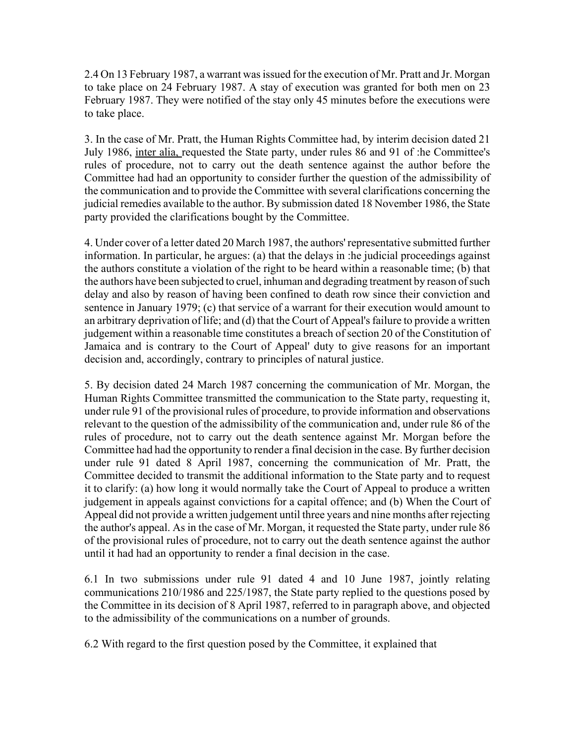2.4 On 13 February 1987, a warrant was issued for the execution of Mr. Pratt and Jr. Morgan to take place on 24 February 1987. A stay of execution was granted for both men on 23 February 1987. They were notified of the stay only 45 minutes before the executions were to take place.

3. In the case of Mr. Pratt, the Human Rights Committee had, by interim decision dated 21 July 1986, inter alia, requested the State party, under rules 86 and 91 of :he Committee's rules of procedure, not to carry out the death sentence against the author before the Committee had had an opportunity to consider further the question of the admissibility of the communication and to provide the Committee with several clarifications concerning the judicial remedies available to the author. By submission dated 18 November 1986, the State party provided the clarifications bought by the Committee.

4. Under cover of a letter dated 20 March 1987, the authors' representative submitted further information. In particular, he argues: (a) that the delays in :he judicial proceedings against the authors constitute a violation of the right to be heard within a reasonable time; (b) that the authors have been subjected to cruel, inhuman and degrading treatment by reason of such delay and also by reason of having been confined to death row since their conviction and sentence in January 1979; (c) that service of a warrant for their execution would amount to an arbitrary deprivation of life; and (d) that the Court of Appeal's failure to provide a written judgement within a reasonable time constitutes a breach of section 20 of the Constitution of Jamaica and is contrary to the Court of Appeal' duty to give reasons for an important decision and, accordingly, contrary to principles of natural justice.

5. By decision dated 24 March 1987 concerning the communication of Mr. Morgan, the Human Rights Committee transmitted the communication to the State party, requesting it, under rule 91 of the provisional rules of procedure, to provide information and observations relevant to the question of the admissibility of the communication and, under rule 86 of the rules of procedure, not to carry out the death sentence against Mr. Morgan before the Committee had had the opportunity to render a final decision in the case. By further decision under rule 91 dated 8 April 1987, concerning the communication of Mr. Pratt, the Committee decided to transmit the additional information to the State party and to request it to clarify: (a) how long it would normally take the Court of Appeal to produce a written judgement in appeals against convictions for a capital offence; and (b) When the Court of Appeal did not provide a written judgement until three years and nine months after rejecting the author's appeal. As in the case of Mr. Morgan, it requested the State party, under rule 86 of the provisional rules of procedure, not to carry out the death sentence against the author until it had had an opportunity to render a final decision in the case.

6.1 In two submissions under rule 91 dated 4 and 10 June 1987, jointly relating communications 210/1986 and 225/1987, the State party replied to the questions posed by the Committee in its decision of 8 April 1987, referred to in paragraph above, and objected to the admissibility of the communications on a number of grounds.

6.2 With regard to the first question posed by the Committee, it explained that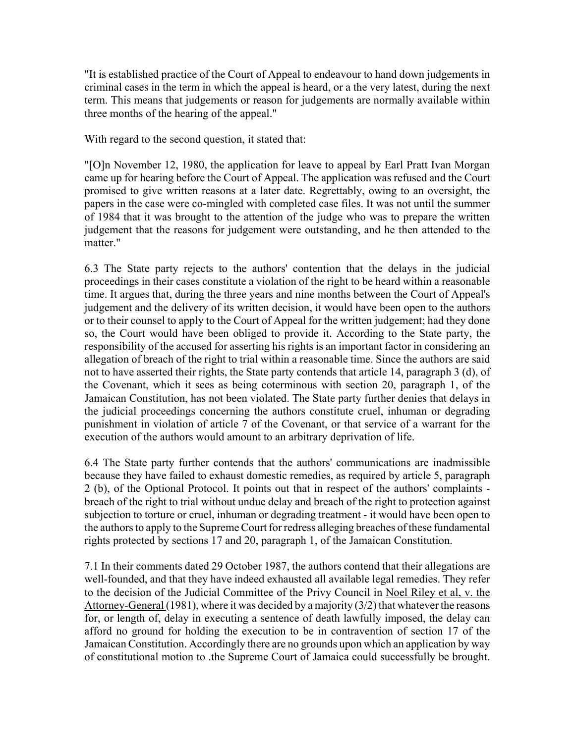"It is established practice of the Court of Appeal to endeavour to hand down judgements in criminal cases in the term in which the appeal is heard, or a the very latest, during the next term. This means that judgements or reason for judgements are normally available within three months of the hearing of the appeal."

With regard to the second question, it stated that:

"[O]n November 12, 1980, the application for leave to appeal by Earl Pratt Ivan Morgan came up for hearing before the Court of Appeal. The application was refused and the Court promised to give written reasons at a later date. Regrettably, owing to an oversight, the papers in the case were co-mingled with completed case files. It was not until the summer of 1984 that it was brought to the attention of the judge who was to prepare the written judgement that the reasons for judgement were outstanding, and he then attended to the matter."

6.3 The State party rejects to the authors' contention that the delays in the judicial proceedings in their cases constitute a violation of the right to be heard within a reasonable time. It argues that, during the three years and nine months between the Court of Appeal's judgement and the delivery of its written decision, it would have been open to the authors or to their counsel to apply to the Court of Appeal for the written judgement; had they done so, the Court would have been obliged to provide it. According to the State party, the responsibility of the accused for asserting his rights is an important factor in considering an allegation of breach of the right to trial within a reasonable time. Since the authors are said not to have asserted their rights, the State party contends that article 14, paragraph 3 (d), of the Covenant, which it sees as being coterminous with section 20, paragraph 1, of the Jamaican Constitution, has not been violated. The State party further denies that delays in the judicial proceedings concerning the authors constitute cruel, inhuman or degrading punishment in violation of article 7 of the Covenant, or that service of a warrant for the execution of the authors would amount to an arbitrary deprivation of life.

6.4 The State party further contends that the authors' communications are inadmissible because they have failed to exhaust domestic remedies, as required by article 5, paragraph 2 (b), of the Optional Protocol. It points out that in respect of the authors' complaints breach of the right to trial without undue delay and breach of the right to protection against subjection to torture or cruel, inhuman or degrading treatment - it would have been open to the authors to apply to the Supreme Court for redress alleging breaches of these fundamental rights protected by sections 17 and 20, paragraph 1, of the Jamaican Constitution.

7.1 In their comments dated 29 October 1987, the authors contend that their allegations are well-founded, and that they have indeed exhausted all available legal remedies. They refer to the decision of the Judicial Committee of the Privy Council in Noel Riley et al, v. the Attorney-General (1981), where it was decided by a majority (3/2) that whatever the reasons for, or length of, delay in executing a sentence of death lawfully imposed, the delay can afford no ground for holding the execution to be in contravention of section 17 of the Jamaican Constitution. Accordingly there are no grounds upon which an application by way of constitutional motion to .the Supreme Court of Jamaica could successfully be brought.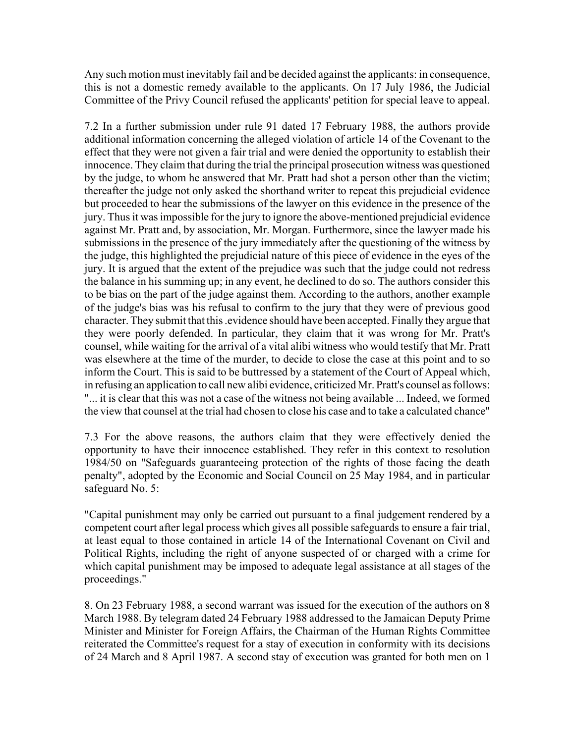Any such motion must inevitably fail and be decided against the applicants: in consequence, this is not a domestic remedy available to the applicants. On 17 July 1986, the Judicial Committee of the Privy Council refused the applicants' petition for special leave to appeal.

7.2 In a further submission under rule 91 dated 17 February 1988, the authors provide additional information concerning the alleged violation of article 14 of the Covenant to the effect that they were not given a fair trial and were denied the opportunity to establish their innocence. They claim that during the trial the principal prosecution witness was questioned by the judge, to whom he answered that Mr. Pratt had shot a person other than the victim; thereafter the judge not only asked the shorthand writer to repeat this prejudicial evidence but proceeded to hear the submissions of the lawyer on this evidence in the presence of the jury. Thus it was impossible for the jury to ignore the above-mentioned prejudicial evidence against Mr. Pratt and, by association, Mr. Morgan. Furthermore, since the lawyer made his submissions in the presence of the jury immediately after the questioning of the witness by the judge, this highlighted the prejudicial nature of this piece of evidence in the eyes of the jury. It is argued that the extent of the prejudice was such that the judge could not redress the balance in his summing up; in any event, he declined to do so. The authors consider this to be bias on the part of the judge against them. According to the authors, another example of the judge's bias was his refusal to confirm to the jury that they were of previous good character. They submit that this .evidence should have been accepted. Finally they argue that they were poorly defended. In particular, they claim that it was wrong for Mr. Pratt's counsel, while waiting for the arrival of a vital alibi witness who would testify that Mr. Pratt was elsewhere at the time of the murder, to decide to close the case at this point and to so inform the Court. This is said to be buttressed by a statement of the Court of Appeal which, in refusing an application to call new alibi evidence, criticized Mr. Pratt's counsel as follows: "... it is clear that this was not a case of the witness not being available ... Indeed, we formed the view that counsel at the trial had chosen to close his case and to take a calculated chance"

7.3 For the above reasons, the authors claim that they were effectively denied the opportunity to have their innocence established. They refer in this context to resolution 1984/50 on "Safeguards guaranteeing protection of the rights of those facing the death penalty", adopted by the Economic and Social Council on 25 May 1984, and in particular safeguard No. 5:

"Capital punishment may only be carried out pursuant to a final judgement rendered by a competent court after legal process which gives all possible safeguards to ensure a fair trial, at least equal to those contained in article 14 of the International Covenant on Civil and Political Rights, including the right of anyone suspected of or charged with a crime for which capital punishment may be imposed to adequate legal assistance at all stages of the proceedings."

8. On 23 February 1988, a second warrant was issued for the execution of the authors on 8 March 1988. By telegram dated 24 February 1988 addressed to the Jamaican Deputy Prime Minister and Minister for Foreign Affairs, the Chairman of the Human Rights Committee reiterated the Committee's request for a stay of execution in conformity with its decisions of 24 March and 8 April 1987. A second stay of execution was granted for both men on 1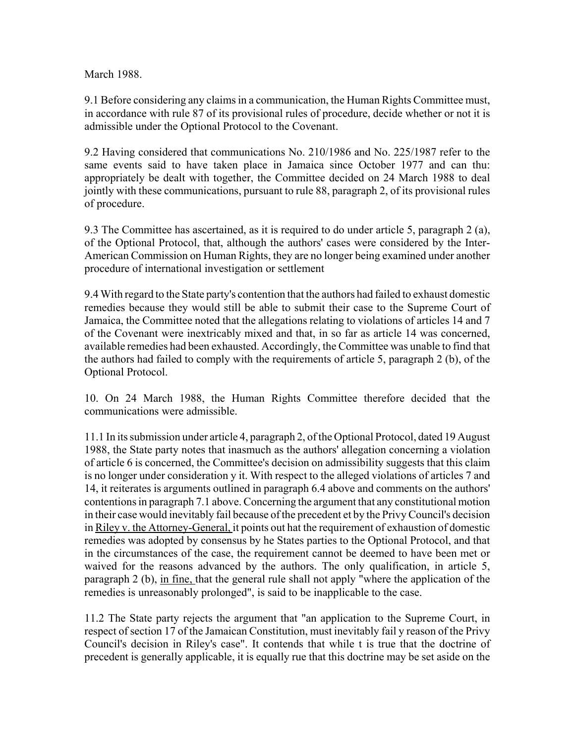March 1988.

9.1 Before considering any claims in a communication, the Human Rights Committee must, in accordance with rule 87 of its provisional rules of procedure, decide whether or not it is admissible under the Optional Protocol to the Covenant.

9.2 Having considered that communications No. 210/1986 and No. 225/1987 refer to the same events said to have taken place in Jamaica since October 1977 and can thu: appropriately be dealt with together, the Committee decided on 24 March 1988 to deal jointly with these communications, pursuant to rule 88, paragraph 2, of its provisional rules of procedure.

9.3 The Committee has ascertained, as it is required to do under article 5, paragraph 2 (a), of the Optional Protocol, that, although the authors' cases were considered by the Inter-American Commission on Human Rights, they are no longer being examined under another procedure of international investigation or settlement

9.4 With regard to the State party's contention that the authors had failed to exhaust domestic remedies because they would still be able to submit their case to the Supreme Court of Jamaica, the Committee noted that the allegations relating to violations of articles 14 and 7 of the Covenant were inextricably mixed and that, in so far as article 14 was concerned, available remedies had been exhausted. Accordingly, the Committee was unable to find that the authors had failed to comply with the requirements of article 5, paragraph 2 (b), of the Optional Protocol.

10. On 24 March 1988, the Human Rights Committee therefore decided that the communications were admissible.

11.1 In its submission under article 4, paragraph 2, of the Optional Protocol, dated 19 August 1988, the State party notes that inasmuch as the authors' allegation concerning a violation of article 6 is concerned, the Committee's decision on admissibility suggests that this claim is no longer under consideration y it. With respect to the alleged violations of articles 7 and 14, it reiterates is arguments outlined in paragraph 6.4 above and comments on the authors' contentions in paragraph 7.1 above. Concerning the argument that any constitutional motion in their case would inevitably fail because of the precedent et by the Privy Council's decision in Riley v. the Attorney-General, it points out hat the requirement of exhaustion of domestic remedies was adopted by consensus by he States parties to the Optional Protocol, and that in the circumstances of the case, the requirement cannot be deemed to have been met or waived for the reasons advanced by the authors. The only qualification, in article 5, paragraph 2 (b), in fine, that the general rule shall not apply "where the application of the remedies is unreasonably prolonged", is said to be inapplicable to the case.

11.2 The State party rejects the argument that "an application to the Supreme Court, in respect of section 17 of the Jamaican Constitution, must inevitably fail y reason of the Privy Council's decision in Riley's case". It contends that while t is true that the doctrine of precedent is generally applicable, it is equally rue that this doctrine may be set aside on the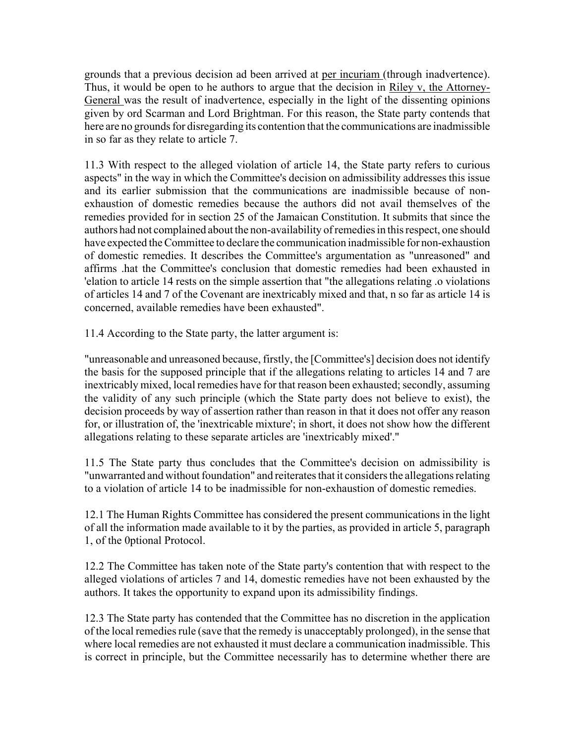grounds that a previous decision ad been arrived at per incuriam (through inadvertence). Thus, it would be open to he authors to argue that the decision in Riley v, the Attorney-General was the result of inadvertence, especially in the light of the dissenting opinions given by ord Scarman and Lord Brightman. For this reason, the State party contends that here are no grounds for disregarding its contention that the communications are inadmissible in so far as they relate to article 7.

11.3 With respect to the alleged violation of article 14, the State party refers to curious aspects" in the way in which the Committee's decision on admissibility addresses this issue and its earlier submission that the communications are inadmissible because of nonexhaustion of domestic remedies because the authors did not avail themselves of the remedies provided for in section 25 of the Jamaican Constitution. It submits that since the authors had not complained about the non-availability of remedies in this respect, one should have expected the Committee to declare the communication inadmissible for non-exhaustion of domestic remedies. It describes the Committee's argumentation as "unreasoned" and affirms .hat the Committee's conclusion that domestic remedies had been exhausted in 'elation to article 14 rests on the simple assertion that "the allegations relating .o violations of articles 14 and 7 of the Covenant are inextricably mixed and that, n so far as article 14 is concerned, available remedies have been exhausted".

11.4 According to the State party, the latter argument is:

"unreasonable and unreasoned because, firstly, the [Committee's] decision does not identify the basis for the supposed principle that if the allegations relating to articles 14 and 7 are inextricably mixed, local remedies have for that reason been exhausted; secondly, assuming the validity of any such principle (which the State party does not believe to exist), the decision proceeds by way of assertion rather than reason in that it does not offer any reason for, or illustration of, the 'inextricable mixture'; in short, it does not show how the different allegations relating to these separate articles are 'inextricably mixed'."

11.5 The State party thus concludes that the Committee's decision on admissibility is "unwarranted and without foundation" and reiterates that it considers the allegations relating to a violation of article 14 to be inadmissible for non-exhaustion of domestic remedies.

12.1 The Human Rights Committee has considered the present communications in the light of all the information made available to it by the parties, as provided in article 5, paragraph 1, of the 0ptional Protocol.

12.2 The Committee has taken note of the State party's contention that with respect to the alleged violations of articles 7 and 14, domestic remedies have not been exhausted by the authors. It takes the opportunity to expand upon its admissibility findings.

12.3 The State party has contended that the Committee has no discretion in the application of the local remedies rule (save that the remedy is unacceptably prolonged), in the sense that where local remedies are not exhausted it must declare a communication inadmissible. This is correct in principle, but the Committee necessarily has to determine whether there are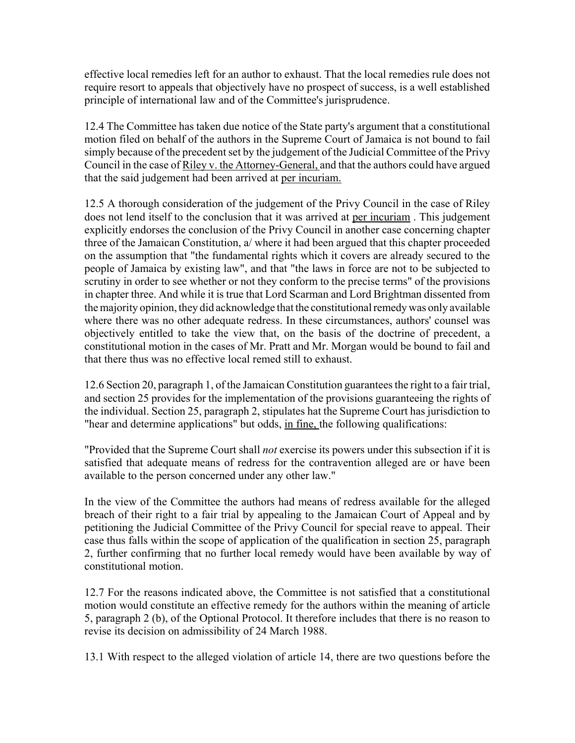effective local remedies left for an author to exhaust. That the local remedies rule does not require resort to appeals that objectively have no prospect of success, is a well established principle of international law and of the Committee's jurisprudence.

12.4 The Committee has taken due notice of the State party's argument that a constitutional motion filed on behalf of the authors in the Supreme Court of Jamaica is not bound to fail simply because of the precedent set by the judgement of the Judicial Committee of the Privy Council in the case of Riley v. the Attorney-General, and that the authors could have argued that the said judgement had been arrived at per incuriam.

12.5 A thorough consideration of the judgement of the Privy Council in the case of Riley does not lend itself to the conclusion that it was arrived at per incuriam . This judgement explicitly endorses the conclusion of the Privy Council in another case concerning chapter three of the Jamaican Constitution, a/ where it had been argued that this chapter proceeded on the assumption that "the fundamental rights which it covers are already secured to the people of Jamaica by existing law", and that "the laws in force are not to be subjected to scrutiny in order to see whether or not they conform to the precise terms" of the provisions in chapter three. And while it is true that Lord Scarman and Lord Brightman dissented from the majority opinion, they did acknowledge that the constitutional remedy was only available where there was no other adequate redress. In these circumstances, authors' counsel was objectively entitled to take the view that, on the basis of the doctrine of precedent, a constitutional motion in the cases of Mr. Pratt and Mr. Morgan would be bound to fail and that there thus was no effective local remed still to exhaust.

12.6 Section 20, paragraph 1, of the Jamaican Constitution guarantees the right to a fair trial, and section 25 provides for the implementation of the provisions guaranteeing the rights of the individual. Section 25, paragraph 2, stipulates hat the Supreme Court has jurisdiction to "hear and determine applications" but odds, in fine, the following qualifications:

"Provided that the Supreme Court shall *not* exercise its powers under this subsection if it is satisfied that adequate means of redress for the contravention alleged are or have been available to the person concerned under any other law."

In the view of the Committee the authors had means of redress available for the alleged breach of their right to a fair trial by appealing to the Jamaican Court of Appeal and by petitioning the Judicial Committee of the Privy Council for special reave to appeal. Their case thus falls within the scope of application of the qualification in section 25, paragraph 2, further confirming that no further local remedy would have been available by way of constitutional motion.

12.7 For the reasons indicated above, the Committee is not satisfied that a constitutional motion would constitute an effective remedy for the authors within the meaning of article 5, paragraph 2 (b), of the Optional Protocol. It therefore includes that there is no reason to revise its decision on admissibility of 24 March 1988.

13.1 With respect to the alleged violation of article 14, there are two questions before the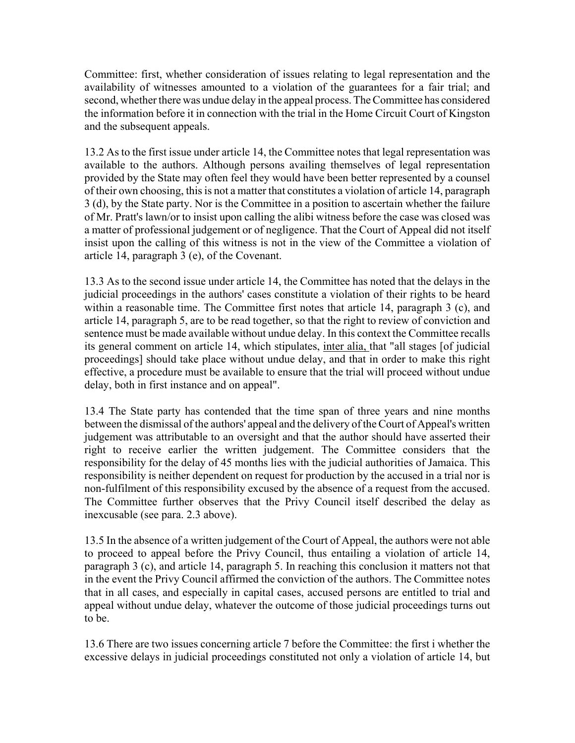Committee: first, whether consideration of issues relating to legal representation and the availability of witnesses amounted to a violation of the guarantees for a fair trial; and second, whether there was undue delay in the appeal process. The Committee has considered the information before it in connection with the trial in the Home Circuit Court of Kingston and the subsequent appeals.

13.2 As to the first issue under article 14, the Committee notes that legal representation was available to the authors. Although persons availing themselves of legal representation provided by the State may often feel they would have been better represented by a counsel of their own choosing, this is not a matter that constitutes a violation of article 14, paragraph 3 (d), by the State party. Nor is the Committee in a position to ascertain whether the failure of Mr. Pratt's lawn/or to insist upon calling the alibi witness before the case was closed was a matter of professional judgement or of negligence. That the Court of Appeal did not itself insist upon the calling of this witness is not in the view of the Committee a violation of article 14, paragraph 3 (e), of the Covenant.

13.3 As to the second issue under article 14, the Committee has noted that the delays in the judicial proceedings in the authors' cases constitute a violation of their rights to be heard within a reasonable time. The Committee first notes that article 14, paragraph 3 (c), and article 14, paragraph 5, are to be read together, so that the right to review of conviction and sentence must be made available without undue delay. In this context the Committee recalls its general comment on article 14, which stipulates, inter alia, that "all stages [of judicial proceedings] should take place without undue delay, and that in order to make this right effective, a procedure must be available to ensure that the trial will proceed without undue delay, both in first instance and on appeal".

13.4 The State party has contended that the time span of three years and nine months between the dismissal of the authors' appeal and the delivery of the Court of Appeal's written judgement was attributable to an oversight and that the author should have asserted their right to receive earlier the written judgement. The Committee considers that the responsibility for the delay of 45 months lies with the judicial authorities of Jamaica. This responsibility is neither dependent on request for production by the accused in a trial nor is non-fulfilment of this responsibility excused by the absence of a request from the accused. The Committee further observes that the Privy Council itself described the delay as inexcusable (see para. 2.3 above).

13.5 In the absence of a written judgement of the Court of Appeal, the authors were not able to proceed to appeal before the Privy Council, thus entailing a violation of article 14, paragraph 3 (c), and article 14, paragraph 5. In reaching this conclusion it matters not that in the event the Privy Council affirmed the conviction of the authors. The Committee notes that in all cases, and especially in capital cases, accused persons are entitled to trial and appeal without undue delay, whatever the outcome of those judicial proceedings turns out to be.

13.6 There are two issues concerning article 7 before the Committee: the first i whether the excessive delays in judicial proceedings constituted not only a violation of article 14, but